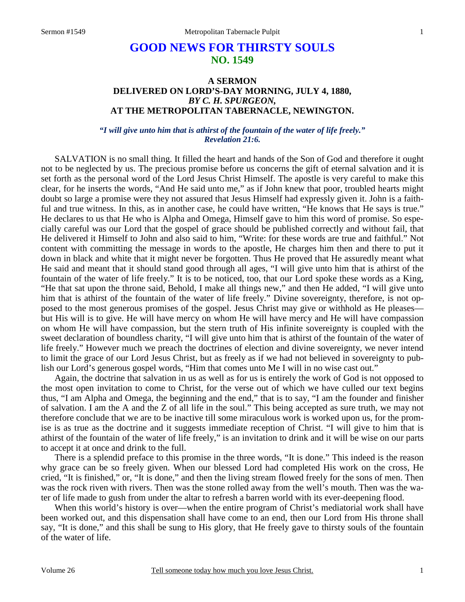## **GOOD NEWS FOR THIRSTY SOULS NO. 1549**

## **A SERMON DELIVERED ON LORD'S-DAY MORNING, JULY 4, 1880,**  *BY C. H. SPURGEON,*  **AT THE METROPOLITAN TABERNACLE, NEWINGTON.**

*"I will give unto him that is athirst of the fountain of the water of life freely." Revelation 21:6.* 

SALVATION is no small thing. It filled the heart and hands of the Son of God and therefore it ought not to be neglected by us. The precious promise before us concerns the gift of eternal salvation and it is set forth as the personal word of the Lord Jesus Christ Himself. The apostle is very careful to make this clear, for he inserts the words, "And He said unto me," as if John knew that poor, troubled hearts might doubt so large a promise were they not assured that Jesus Himself had expressly given it. John is a faithful and true witness. In this, as in another case, he could have written, "He knows that He says is true." He declares to us that He who is Alpha and Omega, Himself gave to him this word of promise. So especially careful was our Lord that the gospel of grace should be published correctly and without fail, that He delivered it Himself to John and also said to him, "Write: for these words are true and faithful." Not content with committing the message in words to the apostle, He charges him then and there to put it down in black and white that it might never be forgotten. Thus He proved that He assuredly meant what He said and meant that it should stand good through all ages, "I will give unto him that is athirst of the fountain of the water of life freely." It is to be noticed, too, that our Lord spoke these words as a King, "He that sat upon the throne said, Behold, I make all things new," and then He added, "I will give unto him that is athirst of the fountain of the water of life freely." Divine sovereignty, therefore, is not opposed to the most generous promises of the gospel. Jesus Christ may give or withhold as He pleases but His will is to give. He will have mercy on whom He will have mercy and He will have compassion on whom He will have compassion, but the stern truth of His infinite sovereignty is coupled with the sweet declaration of boundless charity, "I will give unto him that is athirst of the fountain of the water of life freely." However much we preach the doctrines of election and divine sovereignty, we never intend to limit the grace of our Lord Jesus Christ, but as freely as if we had not believed in sovereignty to publish our Lord's generous gospel words, "Him that comes unto Me I will in no wise cast out."

 Again, the doctrine that salvation in us as well as for us is entirely the work of God is not opposed to the most open invitation to come to Christ, for the verse out of which we have culled our text begins thus, "I am Alpha and Omega, the beginning and the end," that is to say, "I am the founder and finisher of salvation. I am the A and the Z of all life in the soul." This being accepted as sure truth, we may not therefore conclude that we are to be inactive till some miraculous work is worked upon us, for the promise is as true as the doctrine and it suggests immediate reception of Christ. "I will give to him that is athirst of the fountain of the water of life freely," is an invitation to drink and it will be wise on our parts to accept it at once and drink to the full.

 There is a splendid preface to this promise in the three words, "It is done." This indeed is the reason why grace can be so freely given. When our blessed Lord had completed His work on the cross, He cried, "It is finished," or, "It is done," and then the living stream flowed freely for the sons of men. Then was the rock riven with rivers. Then was the stone rolled away from the well's mouth. Then was the water of life made to gush from under the altar to refresh a barren world with its ever-deepening flood.

 When this world's history is over—when the entire program of Christ's mediatorial work shall have been worked out, and this dispensation shall have come to an end, then our Lord from His throne shall say, "It is done," and this shall be sung to His glory, that He freely gave to thirsty souls of the fountain of the water of life.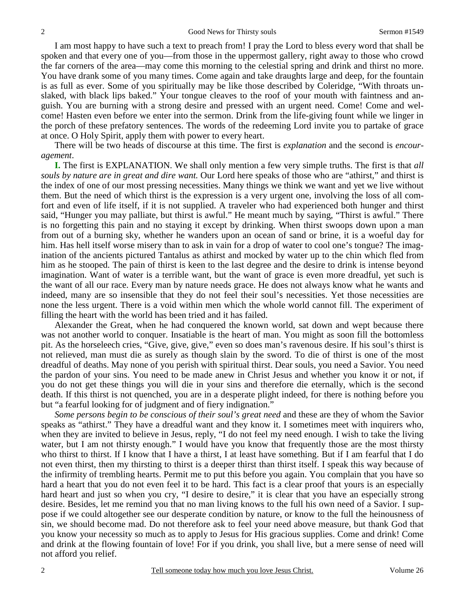I am most happy to have such a text to preach from! I pray the Lord to bless every word that shall be spoken and that every one of you—from those in the uppermost gallery, right away to those who crowd the far corners of the area—may come this morning to the celestial spring and drink and thirst no more. You have drank some of you many times. Come again and take draughts large and deep, for the fountain is as full as ever. Some of you spiritually may be like those described by Coleridge, "With throats unslaked, with black lips baked." Your tongue cleaves to the roof of your mouth with faintness and anguish. You are burning with a strong desire and pressed with an urgent need. Come! Come and welcome! Hasten even before we enter into the sermon. Drink from the life-giving fount while we linger in the porch of these prefatory sentences. The words of the redeeming Lord invite you to partake of grace at once. O Holy Spirit, apply them with power to every heart.

 There will be two heads of discourse at this time. The first is *explanation* and the second is *encouragement*.

**I.** The first is EXPLANATION. We shall only mention a few very simple truths. The first is that *all souls by nature are in great and dire want.* Our Lord here speaks of those who are "athirst," and thirst is the index of one of our most pressing necessities. Many things we think we want and yet we live without them. But the need of which thirst is the expression is a very urgent one, involving the loss of all comfort and even of life itself, if it is not supplied. A traveler who had experienced both hunger and thirst said, "Hunger you may palliate, but thirst is awful." He meant much by saying, "Thirst is awful." There is no forgetting this pain and no staying it except by drinking. When thirst swoops down upon a man from out of a burning sky, whether he wanders upon an ocean of sand or brine, it is a woeful day for him. Has hell itself worse misery than to ask in vain for a drop of water to cool one's tongue? The imagination of the ancients pictured Tantalus as athirst and mocked by water up to the chin which fled from him as he stooped. The pain of thirst is keen to the last degree and the desire to drink is intense beyond imagination. Want of water is a terrible want, but the want of grace is even more dreadful, yet such is the want of all our race. Every man by nature needs grace. He does not always know what he wants and indeed, many are so insensible that they do not feel their soul's necessities. Yet those necessities are none the less urgent. There is a void within men which the whole world cannot fill. The experiment of filling the heart with the world has been tried and it has failed.

 Alexander the Great, when he had conquered the known world, sat down and wept because there was not another world to conquer. Insatiable is the heart of man. You might as soon fill the bottomless pit. As the horseleech cries, "Give, give, give," even so does man's ravenous desire. If his soul's thirst is not relieved, man must die as surely as though slain by the sword. To die of thirst is one of the most dreadful of deaths. May none of you perish with spiritual thirst. Dear souls, you need a Savior. You need the pardon of your sins. You need to be made anew in Christ Jesus and whether you know it or not, if you do not get these things you will die in your sins and therefore die eternally, which is the second death. If this thirst is not quenched, you are in a desperate plight indeed, for there is nothing before you but "a fearful looking for of judgment and of fiery indignation."

*Some persons begin to be conscious of their soul's great need* and these are they of whom the Savior speaks as "athirst." They have a dreadful want and they know it. I sometimes meet with inquirers who, when they are invited to believe in Jesus, reply, "I do not feel my need enough. I wish to take the living water, but I am not thirsty enough." I would have you know that frequently those are the most thirsty who thirst to thirst. If I know that I have a thirst, I at least have something. But if I am fearful that I do not even thirst, then my thirsting to thirst is a deeper thirst than thirst itself. I speak this way because of the infirmity of trembling hearts. Permit me to put this before you again. You complain that you have so hard a heart that you do not even feel it to be hard. This fact is a clear proof that yours is an especially hard heart and just so when you cry, "I desire to desire," it is clear that you have an especially strong desire. Besides, let me remind you that no man living knows to the full his own need of a Savior. I suppose if we could altogether see our desperate condition by nature, or know to the full the heinousness of sin, we should become mad. Do not therefore ask to feel your need above measure, but thank God that you know your necessity so much as to apply to Jesus for His gracious supplies. Come and drink! Come and drink at the flowing fountain of love! For if you drink, you shall live, but a mere sense of need will not afford you relief.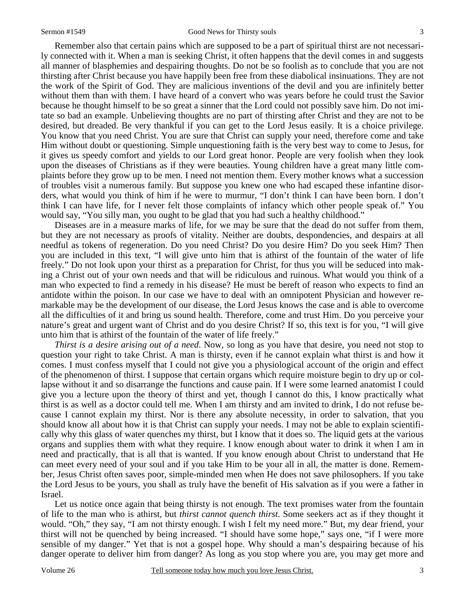Remember also that certain pains which are supposed to be a part of spiritual thirst are not necessarily connected with it. When a man is seeking Christ, it often happens that the devil comes in and suggests all manner of blasphemies and despairing thoughts. Do not be so foolish as to conclude that you are not thirsting after Christ because you have happily been free from these diabolical insinuations. They are not the work of the Spirit of God. They are malicious inventions of the devil and you are infinitely better without them than with them. I have heard of a convert who was years before he could trust the Savior because he thought himself to be so great a sinner that the Lord could not possibly save him. Do not imitate so bad an example. Unbelieving thoughts are no part of thirsting after Christ and they are not to be desired, but dreaded. Be very thankful if you can get to the Lord Jesus easily. It is a choice privilege. You know that you need Christ. You are sure that Christ can supply your need, therefore come and take Him without doubt or questioning. Simple unquestioning faith is the very best way to come to Jesus, for it gives us speedy comfort and yields to our Lord great honor. People are very foolish when they look upon the diseases of Christians as if they were beauties. Young children have a great many little complaints before they grow up to be men. I need not mention them. Every mother knows what a succession of troubles visit a numerous family. But suppose you knew one who had escaped these infantine disorders, what would you think of him if he were to murmur, "I don't think I can have been born. I don't think I can have life, for I never felt those complaints of infancy which other people speak of." You would say, "You silly man, you ought to be glad that you had such a healthy childhood."

 Diseases are in a measure marks of life, for we may be sure that the dead do not suffer from them, but they are not necessary as proofs of vitality. Neither are doubts, despondencies, and despairs at all needful as tokens of regeneration. Do you need Christ? Do you desire Him? Do you seek Him? Then you are included in this text, "I will give unto him that is athirst of the fountain of the water of life freely." Do not look upon your thirst as a preparation for Christ, for thus you will be seduced into making a Christ out of your own needs and that will be ridiculous and ruinous. What would you think of a man who expected to find a remedy in his disease? He must be bereft of reason who expects to find an antidote within the poison. In our case we have to deal with an omnipotent Physician and however remarkable may be the development of our disease, the Lord Jesus knows the case and is able to overcome all the difficulties of it and bring us sound health. Therefore, come and trust Him. Do you perceive your nature's great and urgent want of Christ and do you desire Christ? If so, this text is for you, "I will give unto him that is athirst of the fountain of the water of life freely."

*Thirst is a desire arising out of a need*. Now, so long as you have that desire, you need not stop to question your right to take Christ. A man is thirsty, even if he cannot explain what thirst is and how it comes. I must confess myself that I could not give you a physiological account of the origin and effect of the phenomenon of thirst. I suppose that certain organs which require moisture begin to dry up or collapse without it and so disarrange the functions and cause pain. If I were some learned anatomist I could give you a lecture upon the theory of thirst and yet, though I cannot do this, I know practically what thirst is as well as a doctor could tell me. When I am thirsty and am invited to drink, I do not refuse because I cannot explain my thirst. Nor is there any absolute necessity, in order to salvation, that you should know all about how it is that Christ can supply your needs. I may not be able to explain scientifically why this glass of water quenches my thirst, but I know that it does so. The liquid gets at the various organs and supplies them with what they require. I know enough about water to drink it when I am in need and practically, that is all that is wanted. If you know enough about Christ to understand that He can meet every need of your soul and if you take Him to be your all in all, the matter is done. Remember, Jesus Christ often saves poor, simple-minded men when He does not save philosophers. If you take the Lord Jesus to be yours, you shall as truly have the benefit of His salvation as if you were a father in Israel.

Let us notice once again that being thirsty is not enough. The text promises water from the fountain of life to the man who is athirst, but *thirst cannot quench thirst*. Some seekers act as if they thought it would. "Oh," they say, "I am not thirsty enough. I wish I felt my need more." But, my dear friend, your thirst will not be quenched by being increased. "I should have some hope," says one, "if I were more sensible of my danger." Yet that is not a gospel hope. Why should a man's despairing because of his danger operate to deliver him from danger? As long as you stop where you are, you may get more and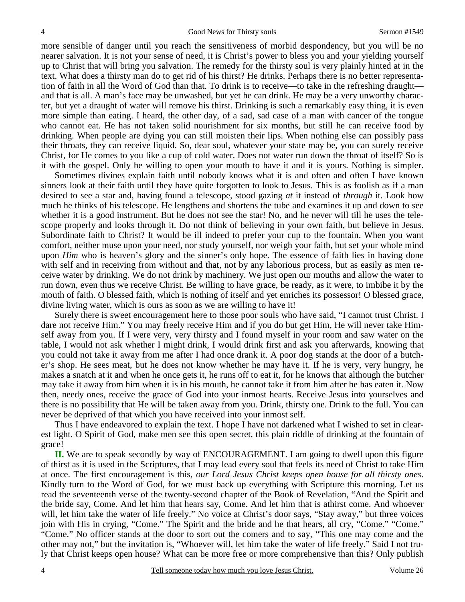more sensible of danger until you reach the sensitiveness of morbid despondency, but you will be no nearer salvation. It is not your sense of need, it is Christ's power to bless you and your yielding yourself up to Christ that will bring you salvation. The remedy for the thirsty soul is very plainly hinted at in the text. What does a thirsty man do to get rid of his thirst? He drinks. Perhaps there is no better representation of faith in all the Word of God than that. To drink is to receive—to take in the refreshing draught and that is all. A man's face may be unwashed, but yet he can drink. He may be a very unworthy character, but yet a draught of water will remove his thirst. Drinking is such a remarkably easy thing, it is even more simple than eating. I heard, the other day, of a sad, sad case of a man with cancer of the tongue who cannot eat. He has not taken solid nourishment for six months, but still he can receive food by drinking. When people are dying you can still moisten their lips. When nothing else can possibly pass their throats, they can receive liquid. So, dear soul, whatever your state may be, you can surely receive Christ, for He comes to you like a cup of cold water. Does not water run down the throat of itself? So is it with the gospel. Only be willing to open your mouth to have it and it is yours. Nothing is simpler.

 Sometimes divines explain faith until nobody knows what it is and often and often I have known sinners look at their faith until they have quite forgotten to look to Jesus. This is as foolish as if a man desired to see a star and, having found a telescope, stood gazing *at* it instead of *through* it. Look how much he thinks of his telescope. He lengthens and shortens the tube and examines it up and down to see whether it is a good instrument. But he does not see the star! No, and he never will till he uses the telescope properly and looks through it. Do not think of believing in your own faith, but believe in Jesus. Subordinate faith to Christ? It would be ill indeed to prefer your cup to the fountain. When you want comfort, neither muse upon your need, nor study yourself, nor weigh your faith, but set your whole mind upon *Him* who is heaven's glory and the sinner's only hope. The essence of faith lies in having done with self and in receiving from without and that, not by any laborious process, but as easily as men receive water by drinking. We do not drink by machinery. We just open our mouths and allow the water to run down, even thus we receive Christ. Be willing to have grace, be ready, as it were, to imbibe it by the mouth of faith. O blessed faith, which is nothing of itself and yet enriches its possessor! O blessed grace, divine living water, which is ours as soon as we are willing to have it!

 Surely there is sweet encouragement here to those poor souls who have said, "I cannot trust Christ. I dare not receive Him." You may freely receive Him and if you do but get Him, He will never take Himself away from you. If I were very, very thirsty and I found myself in your room and saw water on the table, I would not ask whether I might drink, I would drink first and ask you afterwards, knowing that you could not take it away from me after I had once drank it. A poor dog stands at the door of a butcher's shop. He sees meat, but he does not know whether he may have it. If he is very, very hungry, he makes a snatch at it and when he once gets it, he runs off to eat it, for he knows that although the butcher may take it away from him when it is in his mouth, he cannot take it from him after he has eaten it. Now then, needy ones, receive the grace of God into your inmost hearts. Receive Jesus into yourselves and there is no possibility that He will be taken away from you. Drink, thirsty one. Drink to the full. You can never be deprived of that which you have received into your inmost self.

 Thus I have endeavored to explain the text. I hope I have not darkened what I wished to set in clearest light. O Spirit of God, make men see this open secret, this plain riddle of drinking at the fountain of grace!

 **II.** We are to speak secondly by way of ENCOURAGEMENT. I am going to dwell upon this figure of thirst as it is used in the Scriptures, that I may lead every soul that feels its need of Christ to take Him at once. The first encouragement is this, *our Lord Jesus Christ keeps open house for all thirsty ones*. Kindly turn to the Word of God, for we must back up everything with Scripture this morning. Let us read the seventeenth verse of the twenty-second chapter of the Book of Revelation, "And the Spirit and the bride say, Come. And let him that hears say, Come. And let him that is athirst come. And whoever will, let him take the water of life freely." No voice at Christ's door says, "Stay away," but three voices join with His in crying, "Come." The Spirit and the bride and he that hears, all cry, "Come." "Come." "Come." No officer stands at the door to sort out the comers and to say, "This one may come and the other may not," but the invitation is, "Whoever will, let him take the water of life freely." Said I not truly that Christ keeps open house? What can be more free or more comprehensive than this? Only publish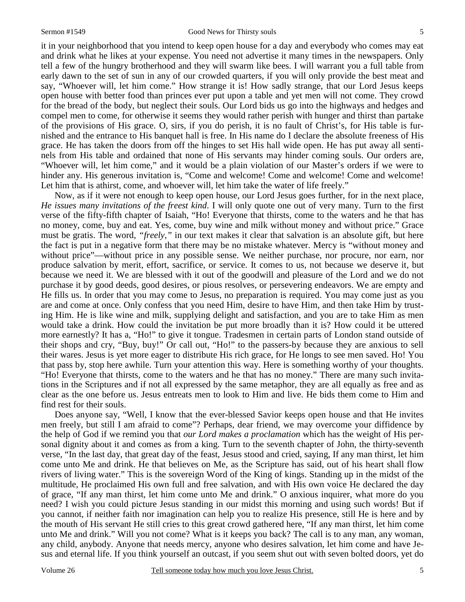it in your neighborhood that you intend to keep open house for a day and everybody who comes may eat and drink what he likes at your expense. You need not advertise it many times in the newspapers. Only tell a few of the hungry brotherhood and they will swarm like bees. I will warrant you a full table from early dawn to the set of sun in any of our crowded quarters, if you will only provide the best meat and say, "Whoever will, let him come." How strange it is! How sadly strange, that our Lord Jesus keeps open house with better food than princes ever put upon a table and yet men will not come. They crowd for the bread of the body, but neglect their souls. Our Lord bids us go into the highways and hedges and compel men to come, for otherwise it seems they would rather perish with hunger and thirst than partake of the provisions of His grace. O, sirs, if you do perish, it is no fault of Christ's, for His table is furnished and the entrance to His banquet hall is free. In His name do I declare the absolute freeness of His grace. He has taken the doors from off the hinges to set His hall wide open. He has put away all sentinels from His table and ordained that none of His servants may hinder coming souls. Our orders are, "Whoever will, let him come," and it would be a plain violation of our Master's orders if we were to hinder any. His generous invitation is, "Come and welcome! Come and welcome! Come and welcome! Let him that is athirst, come, and whoever will, let him take the water of life freely."

 Now, as if it were not enough to keep open house, our Lord Jesus goes further, for in the next place, *He issues many invitations of the freest kind*. I will only quote one out of very many. Turn to the first verse of the fifty-fifth chapter of Isaiah, "Ho! Everyone that thirsts, come to the waters and he that has no money, come, buy and eat. Yes, come, buy wine and milk without money and without price." Grace must be gratis. The word, *"freely,"* in our text makes it clear that salvation is an absolute gift, but here the fact is put in a negative form that there may be no mistake whatever. Mercy is "without money and without price"—without price in any possible sense. We neither purchase, nor procure, nor earn, nor produce salvation by merit, effort, sacrifice, or service. It comes to us, not because we deserve it, but because we need it. We are blessed with it out of the goodwill and pleasure of the Lord and we do not purchase it by good deeds, good desires, or pious resolves, or persevering endeavors. We are empty and He fills us. In order that you may come to Jesus, no preparation is required. You may come just as you are and come at once. Only confess that you need Him, desire to have Him, and then take Him by trusting Him. He is like wine and milk, supplying delight and satisfaction, and you are to take Him as men would take a drink. How could the invitation be put more broadly than it is? How could it be uttered more earnestly? It has a, "Ho!" to give it tongue. Tradesmen in certain parts of London stand outside of their shops and cry, "Buy, buy!" Or call out, "Ho!" to the passers-by because they are anxious to sell their wares. Jesus is yet more eager to distribute His rich grace, for He longs to see men saved. Ho! You that pass by, stop here awhile. Turn your attention this way. Here is something worthy of your thoughts. "Ho! Everyone that thirsts, come to the waters and he that has no money." There are many such invitations in the Scriptures and if not all expressed by the same metaphor, they are all equally as free and as clear as the one before us. Jesus entreats men to look to Him and live. He bids them come to Him and find rest for their souls.

 Does anyone say, "Well, I know that the ever-blessed Savior keeps open house and that He invites men freely, but still I am afraid to come"? Perhaps, dear friend, we may overcome your diffidence by the help of God if we remind you that *our Lord makes a proclamation* which has the weight of His personal dignity about it and comes as from a king. Turn to the seventh chapter of John, the thirty-seventh verse, "In the last day, that great day of the feast, Jesus stood and cried, saying, If any man thirst, let him come unto Me and drink. He that believes on Me, as the Scripture has said, out of his heart shall flow rivers of living water." This is the sovereign Word of the King of kings. Standing up in the midst of the multitude, He proclaimed His own full and free salvation, and with His own voice He declared the day of grace, "If any man thirst, let him come unto Me and drink." O anxious inquirer, what more do you need? I wish you could picture Jesus standing in our midst this morning and using such words! But if you cannot, if neither faith nor imagination can help you to realize His presence, still He is here and by the mouth of His servant He still cries to this great crowd gathered here, "If any man thirst, let him come unto Me and drink." Will you not come? What is it keeps you back? The call is to any man, any woman, any child, anybody. Anyone that needs mercy, anyone who desires salvation, let him come and have Jesus and eternal life. If you think yourself an outcast, if you seem shut out with seven bolted doors, yet do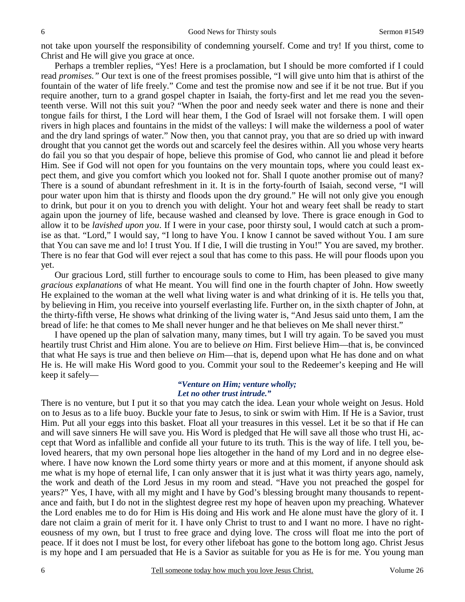not take upon yourself the responsibility of condemning yourself. Come and try! If you thirst, come to Christ and He will give you grace at once.

 Perhaps a trembler replies, "Yes! Here is a proclamation, but I should be more comforted if I could read *promises."* Our text is one of the freest promises possible, "I will give unto him that is athirst of the fountain of the water of life freely." Come and test the promise now and see if it be not true. But if you require another, turn to a grand gospel chapter in Isaiah, the forty-first and let me read you the seventeenth verse. Will not this suit you? "When the poor and needy seek water and there is none and their tongue fails for thirst, I the Lord will hear them, I the God of Israel will not forsake them. I will open rivers in high places and fountains in the midst of the valleys: I will make the wilderness a pool of water and the dry land springs of water." Now then, you that cannot pray, you that are so dried up with inward drought that you cannot get the words out and scarcely feel the desires within. All you whose very hearts do fail you so that you despair of hope, believe this promise of God, who cannot lie and plead it before Him. See if God will not open for you fountains on the very mountain tops, where you could least expect them, and give you comfort which you looked not for. Shall I quote another promise out of many? There is a sound of abundant refreshment in it. It is in the forty-fourth of Isaiah, second verse, "I will pour water upon him that is thirsty and floods upon the dry ground." He will not only give you enough to drink, but pour it on you to drench you with delight. Your hot and weary feet shall be ready to start again upon the journey of life, because washed and cleansed by love. There is grace enough in God to allow it to be *lavished upon you*. If I were in your case, poor thirsty soul, I would catch at such a promise as that. "Lord," I would say, "I long to have You. I know I cannot be saved without You. I am sure that You can save me and lo! I trust You. If I die, I will die trusting in You!" You are saved, my brother. There is no fear that God will ever reject a soul that has come to this pass. He will pour floods upon you yet.

 Our gracious Lord, still further to encourage souls to come to Him, has been pleased to give many *gracious explanations* of what He meant. You will find one in the fourth chapter of John. How sweetly He explained to the woman at the well what living water is and what drinking of it is. He tells you that, by believing in Him, you receive into yourself everlasting life. Further on, in the sixth chapter of John, at the thirty-fifth verse, He shows what drinking of the living water is, "And Jesus said unto them, I am the bread of life: he that comes to Me shall never hunger and he that believes on Me shall never thirst."

 I have opened up the plan of salvation many, many times, but I will try again. To be saved you must heartily trust Christ and Him alone. You are to believe *on* Him. First believe Him—that is, be convinced that what He says is true and then believe *on* Him—that is, depend upon what He has done and on what He is. He will make His Word good to you. Commit your soul to the Redeemer's keeping and He will keep it safely—

## *"Venture on Him; venture wholly; Let no other trust intrude."*

There is no venture, but I put it so that you may catch the idea. Lean your whole weight on Jesus. Hold on to Jesus as to a life buoy. Buckle your fate to Jesus, to sink or swim with Him. If He is a Savior, trust Him. Put all your eggs into this basket. Float all your treasures in this vessel. Let it be so that if He can and will save sinners He will save you. His Word is pledged that He will save all those who trust Hi, accept that Word as infallible and confide all your future to its truth. This is the way of life. I tell you, beloved hearers, that my own personal hope lies altogether in the hand of my Lord and in no degree elsewhere. I have now known the Lord some thirty years or more and at this moment, if anyone should ask me what is my hope of eternal life, I can only answer that it is just what it was thirty years ago, namely, the work and death of the Lord Jesus in my room and stead. "Have you not preached the gospel for years?" Yes, I have, with all my might and I have by God's blessing brought many thousands to repentance and faith, but I do not in the slightest degree rest my hope of heaven upon my preaching. Whatever the Lord enables me to do for Him is His doing and His work and He alone must have the glory of it. I dare not claim a grain of merit for it. I have only Christ to trust to and I want no more. I have no righteousness of my own, but I trust to free grace and dying love. The cross will float me into the port of peace. If it does not I must be lost, for every other lifeboat has gone to the bottom long ago. Christ Jesus is my hope and I am persuaded that He is a Savior as suitable for you as He is for me. You young man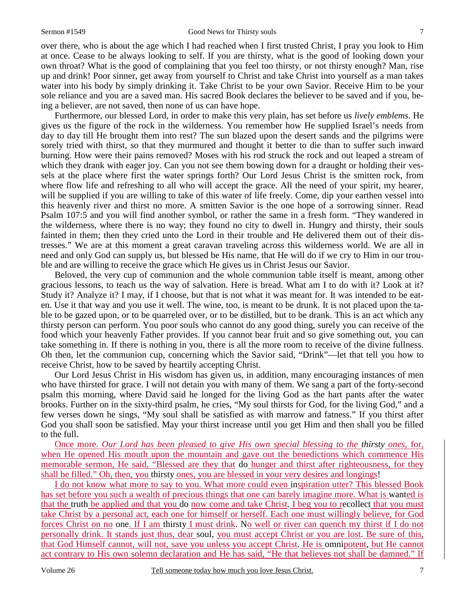over there, who is about the age which I had reached when I first trusted Christ, I pray you look to Him at once. Cease to be always looking to self. If you are thirsty, what is the good of looking down your own throat? What is the good of complaining that you feel too thirsty, or not thirsty enough? Man, rise up and drink! Poor sinner, get away from yourself to Christ and take Christ into yourself as a man takes water into his body by simply drinking it. Take Christ to be your own Savior. Receive Him to be your sole reliance and you are a saved man. His sacred Book declares the believer to be saved and if you, being a believer, are not saved, then none of us can have hope.

 Furthermore, our blessed Lord, in order to make this very plain, has set before us *lively emblems*. He gives us the figure of the rock in the wilderness. You remember how He supplied Israel's needs from day to day till He brought them into rest? The sun blazed upon the desert sands and the pilgrims were sorely tried with thirst, so that they murmured and thought it better to die than to suffer such inward burning. How were their pains removed? Moses with his rod struck the rock and out leaped a stream of which they drank with eager joy. Can you not see them bowing down for a draught or holding their vessels at the place where first the water springs forth? Our Lord Jesus Christ is the smitten rock, from where flow life and refreshing to all who will accept the grace. All the need of your spirit, my hearer, will be supplied if you are willing to take of this water of life freely. Come, dip your earthen vessel into this heavenly river and thirst no more. A smitten Savior is the one hope of a sorrowing sinner. Read Psalm 107:5 and you will find another symbol, or rather the same in a fresh form. "They wandered in the wilderness, where there is no way; they found no city to dwell in. Hungry and thirsty, their souls fainted in them; then they cried unto the Lord in their trouble and He delivered them out of their distresses." We are at this moment a great caravan traveling across this wilderness world. We are all in need and only God can supply us, but blessed be His name, that He will do if we cry to Him in our trouble and are willing to receive the grace which He gives us in Christ Jesus our Savior.

 Beloved, the very cup of communion and the whole communion table itself is meant, among other gracious lessons, to teach us the way of salvation. Here is bread. What am I to do with it? Look at it? Study it? Analyze it? I may, if I choose, but that is not what it was meant for. It was intended to be eaten. Use it that way and you use it well. The wine, too, is meant to be drunk. It is not placed upon the table to be gazed upon, or to be quarreled over, or to be distilled, but to be drank. This is an act which any thirsty person can perform. You poor souls who cannot do any good thing, surely you can receive of the food which your heavenly Father provides. If you cannot bear fruit and so give something out, you can take something in. If there is nothing in you, there is all the more room to receive of the divine fullness. Oh then, let the communion cup, concerning which the Savior said, "Drink"—let that tell you how to receive Christ, how to be saved by heartily accepting Christ.

 Our Lord Jesus Christ in His wisdom has given us, in addition, many encouraging instances of men who have thirsted for grace. I will not detain you with many of them. We sang a part of the forty-second psalm this morning, where David said he longed for the living God as the hart pants after the water brooks. Further on in the sixty-third psalm, he cries, "My soul thirsts for God, for the living God," and a few verses down he sings, "My soul shall be satisfied as with marrow and fatness." If you thirst after God you shall soon be satisfied. May your thirst increase until you get Him and then shall you be filled to the full.

Once more. *Our Lord has been pleased to give His own special blessing to the thirsty ones*, for, when He opened His mouth upon the mountain and gave out the benedictions which commence His memorable sermon, He said, "Blessed are they that do hunger and thirst after righteousness, for they shall be filled." Oh, then, you thirsty ones, you are blessed in your very desires and longings!

I do not know what more to say to you. What more could even inspiration utter? This blessed Book has set before you such a wealth of precious things that one can barely imagine more. What is wanted is that the truth be applied and that you do now come and take Christ. I beg you to recollect that you must take Christ by a personal act, each one for himself or herself. Each one must willingly believe, for God forces Christ on no one. If I am thirsty I must drink. No well or river can quench my thirst if I do not personally drink. It stands just thus, dear soul, you must accept Christ or you are lost. Be sure of this, that God Himself cannot, will not, save you unless you accept Christ. He is omnipotent, but He cannot act contrary to His own solemn declaration and He has said, "He that believes not shall be damned." If